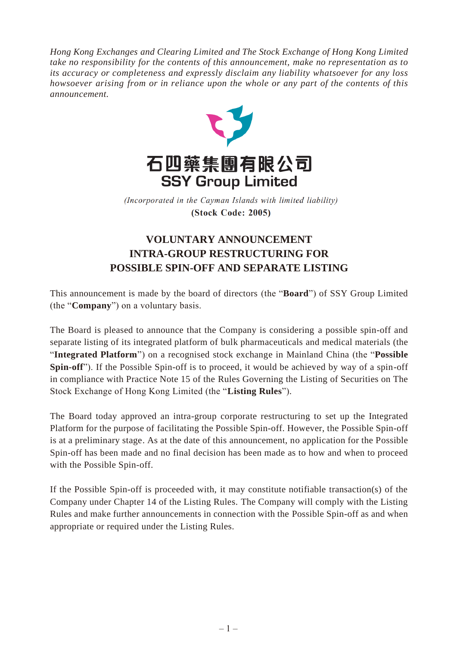*Hong Kong Exchanges and Clearing Limited and The Stock Exchange of Hong Kong Limited take no responsibility for the contents of this announcement, make no representation as to its accuracy or completeness and expressly disclaim any liability whatsoever for any loss howsoever arising from or in reliance upon the whole or any part of the contents of this announcement.*



(Incorporated in the Cayman Islands with limited liability) (Stock Code: 2005)

## **VOLUNTARY ANNOUNCEMENT INTRA-GROUP RESTRUCTURING FOR POSSIBLE SPIN-OFF AND SEPARATE LISTING**

This announcement is made by the board of directors (the "**Board**") of SSY Group Limited (the "**Company**") on a voluntary basis.

The Board is pleased to announce that the Company is considering a possible spin-off and separate listing of its integrated platform of bulk pharmaceuticals and medical materials (the "**Integrated Platform**") on a recognised stock exchange in Mainland China (the "**Possible Spin-off**"). If the Possible Spin-off is to proceed, it would be achieved by way of a spin-off in compliance with Practice Note 15 of the Rules Governing the Listing of Securities on The Stock Exchange of Hong Kong Limited (the "**Listing Rules**").

The Board today approved an intra-group corporate restructuring to set up the Integrated Platform for the purpose of facilitating the Possible Spin-off. However, the Possible Spin-off is at a preliminary stage. As at the date of this announcement, no application for the Possible Spin-off has been made and no final decision has been made as to how and when to proceed with the Possible Spin-off.

If the Possible Spin-off is proceeded with, it may constitute notifiable transaction(s) of the Company under Chapter 14 of the Listing Rules. The Company will comply with the Listing Rules and make further announcements in connection with the Possible Spin-off as and when appropriate or required under the Listing Rules.